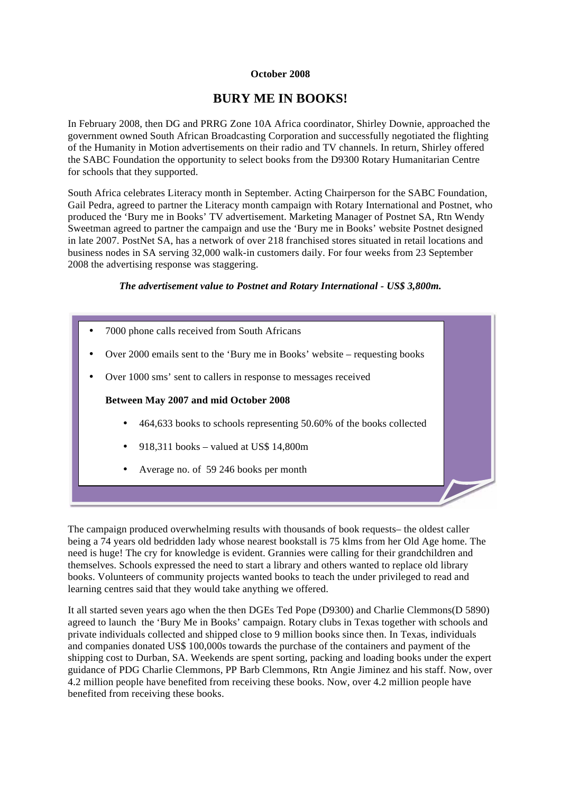## **October 2008**

## **BURY ME IN BOOKS!**

In February 2008, then DG and PRRG Zone 10A Africa coordinator, Shirley Downie, approached the government owned South African Broadcasting Corporation and successfully negotiated the flighting of the Humanity in Motion advertisements on their radio and TV channels. In return, Shirley offered the SABC Foundation the opportunity to select books from the D9300 Rotary Humanitarian Centre for schools that they supported.

South Africa celebrates Literacy month in September. Acting Chairperson for the SABC Foundation, Gail Pedra, agreed to partner the Literacy month campaign with Rotary International and Postnet, who produced the 'Bury me in Books' TV advertisement. Marketing Manager of Postnet SA, Rtn Wendy Sweetman agreed to partner the campaign and use the 'Bury me in Books' website Postnet designed in late 2007. PostNet SA, has a network of over 218 franchised stores situated in retail locations and business nodes in SA serving 32,000 walk-in customers daily. For four weeks from 23 September 2008 the advertising response was staggering.

*The advertisement value to Postnet and Rotary International - US\$ 3,800m.* 



The campaign produced overwhelming results with thousands of book requests– the oldest caller being a 74 years old bedridden lady whose nearest bookstall is 75 klms from her Old Age home. The need is huge! The cry for knowledge is evident. Grannies were calling for their grandchildren and themselves. Schools expressed the need to start a library and others wanted to replace old library books. Volunteers of community projects wanted books to teach the under privileged to read and learning centres said that they would take anything we offered.

It all started seven years ago when the then DGEs Ted Pope (D9300) and Charlie Clemmons(D 5890) agreed to launch the 'Bury Me in Books' campaign. Rotary clubs in Texas together with schools and private individuals collected and shipped close to 9 million books since then. In Texas, individuals and companies donated US\$ 100,000s towards the purchase of the containers and payment of the shipping cost to Durban, SA. Weekends are spent sorting, packing and loading books under the expert guidance of PDG Charlie Clemmons, PP Barb Clemmons, Rtn Angie Jiminez and his staff. Now, over 4.2 million people have benefited from receiving these books. Now, over 4.2 million people have benefited from receiving these books.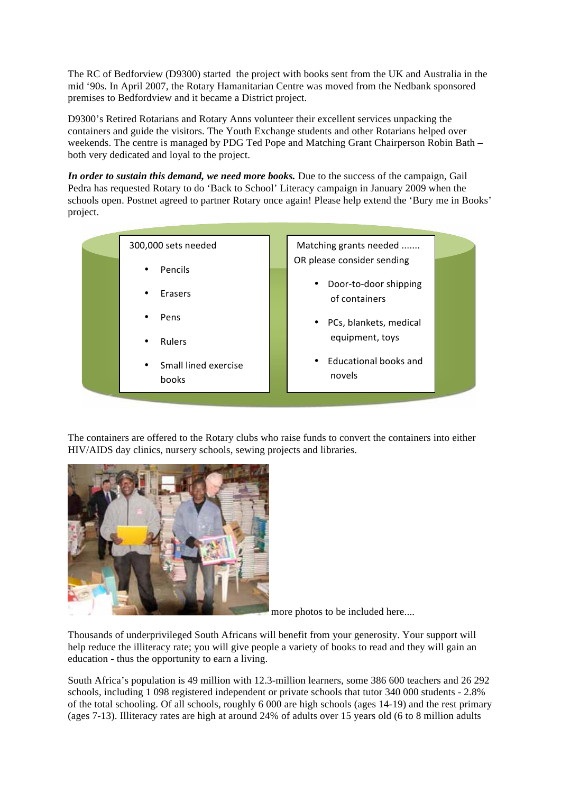The RC of Bedforview (D9300) started the project with books sent from the UK and Australia in the mid '90s. In April 2007, the Rotary Hamanitarian Centre was moved from the Nedbank sponsored premises to Bedfordview and it became a District project.

D9300's Retired Rotarians and Rotary Anns volunteer their excellent services unpacking the containers and guide the visitors. The Youth Exchange students and other Rotarians helped over weekends. The centre is managed by PDG Ted Pope and Matching Grant Chairperson Robin Bath – both very dedicated and loyal to the project.

*In order to sustain this demand, we need more books.* Due to the success of the campaign, Gail Pedra has requested Rotary to do 'Back to School' Literacy campaign in January 2009 when the schools open. Postnet agreed to partner Rotary once again! Please help extend the 'Bury me in Books' project.

|  | 300,000 sets needed                        |  | Matching grants needed                              |  |
|--|--------------------------------------------|--|-----------------------------------------------------|--|
|  | Pencils<br>$\bullet$                       |  | OR please consider sending                          |  |
|  | Erasers<br>٠                               |  | Door-to-door shipping<br>$\bullet$<br>of containers |  |
|  | Pens<br>٠                                  |  | PCs, blankets, medical<br>$\bullet$                 |  |
|  | <b>Rulers</b><br>$\bullet$                 |  | equipment, toys                                     |  |
|  | Small lined exercise<br>$\bullet$<br>books |  | Educational books and<br>٠<br>novels                |  |
|  |                                            |  |                                                     |  |

The containers are offered to the Rotary clubs who raise funds to convert the containers into either HIV/AIDS day clinics, nursery schools, sewing projects and libraries.



more photos to be included here....

Thousands of underprivileged South Africans will benefit from your generosity. Your support will help reduce the illiteracy rate; you will give people a variety of books to read and they will gain an education - thus the opportunity to earn a living.

South Africa's population is 49 million with 12.3-million learners, some 386 600 teachers and 26 292 schools, including 1 098 registered independent or private schools that tutor 340 000 students - 2.8% of the total schooling. Of all schools, roughly 6 000 are high schools (ages 14-19) and the rest primary (ages 7-13). Illiteracy rates are high at around 24% of adults over 15 years old (6 to 8 million adults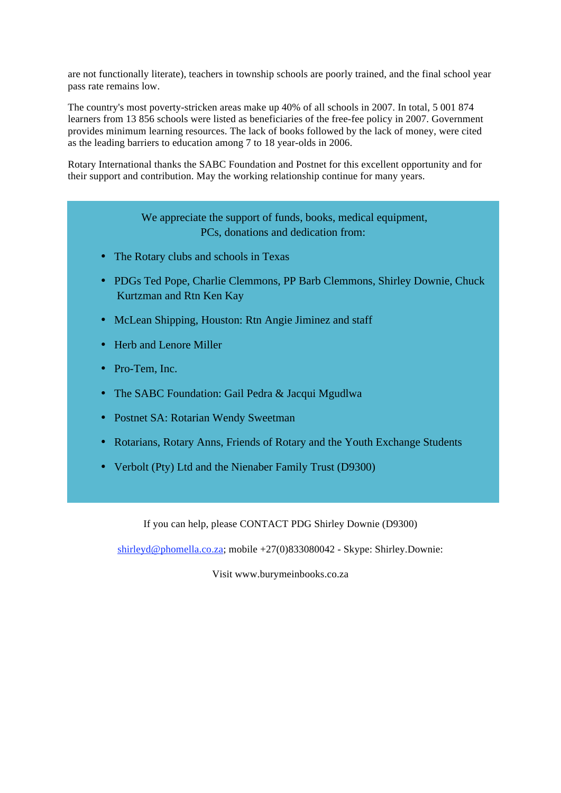are not functionally literate), teachers in township schools are poorly trained, and the final school year pass rate remains low.

The country's most poverty-stricken areas make up 40% of all schools in 2007. In total, 5 001 874 learners from 13 856 schools were listed as beneficiaries of the free-fee policy in 2007. Government provides minimum learning resources. The lack of books followed by the lack of money, were cited as the leading barriers to education among 7 to 18 year-olds in 2006.

Rotary International thanks the SABC Foundation and Postnet for this excellent opportunity and for their support and contribution. May the working relationship continue for many years.

> We appreciate the support of funds, books, medical equipment, PCs, donations and dedication from:

- The Rotary clubs and schools in Texas
- PDGs Ted Pope, Charlie Clemmons, PP Barb Clemmons, Shirley Downie, Chuck Kurtzman and Rtn Ken Kay
- McLean Shipping, Houston: Rtn Angie Jiminez and staff
- Herb and Lenore Miller
- Pro-Tem, Inc.
- The SABC Foundation: Gail Pedra & Jacqui Mgudlwa
- Postnet SA: Rotarian Wendy Sweetman
- Rotarians, Rotary Anns, Friends of Rotary and the Youth Exchange Students
- Verbolt (Pty) Ltd and the Nienaber Family Trust (D9300)

If you can help, please CONTACT PDG Shirley Downie (D9300)

shirleyd@phomella.co.za; mobile +27(0)833080042 - Skype: Shirley.Downie:

Visit www.burymeinbooks.co.za